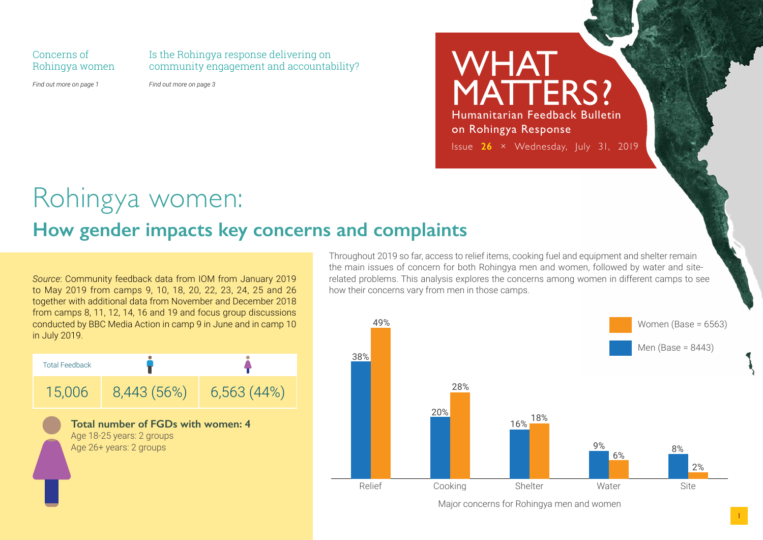Concerns of Rohingya women Is the Rohingya response delivering on community engagement and accountability?

*Find out more on page 1*

*Find out more on page 3*

WHAT MATTERS? Humanitarian Feedback Bulletin on Rohingya Response Issue **26** × Wednesday, July 31, 2019

# Rohingya women:

### **How gender impacts key concerns and complaints**

*Source*: Community feedback data from IOM from January 2019 to May 2019 from camps 9, 10, 18, 20, 22, 23, 24, 25 and 26 together with additional data from November and December 2018 from camps 8, 11, 12, 14, 16 and 19 and focus group discussions conducted by BBC Media Action in camp 9 in June and in camp 10 in July 2019.



Throughout 2019 so far, access to relief items, cooking fuel and equipment and shelter remain the main issues of concern for both Rohingya men and women, followed by water and siterelated problems. This analysis explores the concerns among women in different camps to see how their concerns vary from men in those camps.



Major concerns for Rohingya men and women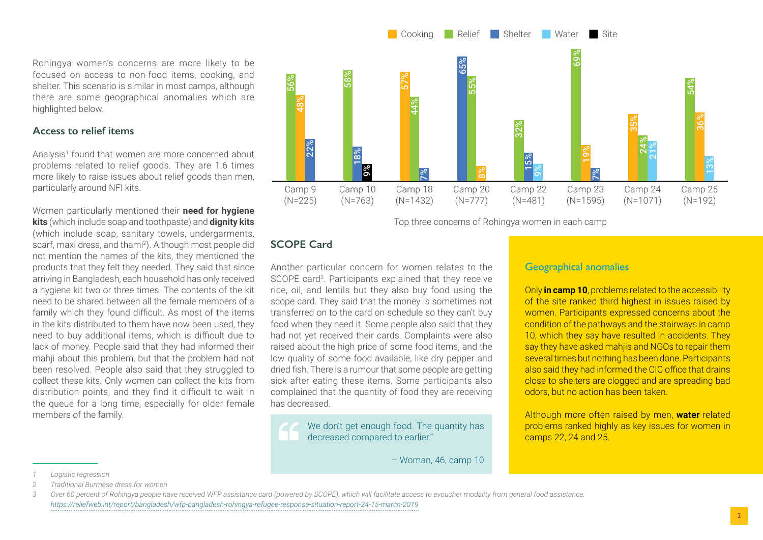focused on access to non-food items, cooking, and shelter. This scenario is similar in most camps, although there are some geographical anomalies which are highlighted below.

Rohingya women's concerns are more likely to be

#### **Access to relief items**

Analysis<sup>1</sup> found that women are more concerned about problems related to relief goods. They are 1.6 times more likely to raise issues about relief goods than men, particularly around NFI kits.

Women particularly mentioned their **need for hygiene kits** (which include soap and toothpaste) and **dignity kits**  (which include soap, sanitary towels, undergarments, scarf, maxi dress, and thami<sup>2</sup>). Although most people did not mention the names of the kits, they mentioned the products that they felt they needed. They said that since arriving in Bangladesh, each household has only received a hygiene kit two or three times. The contents of the kit need to be shared between all the female members of a family which they found difficult. As most of the items in the kits distributed to them have now been used, they need to buy additional items, which is difficult due to lack of money. People said that they had informed their mahji about this problem, but that the problem had not been resolved. People also said that they struggled to collect these kits. Only women can collect the kits from distribution points, and they find it difficult to wait in the queue for a long time, especially for older female members of the family.



Top three concerns of Rohingya women in each camp

### **SCOPE Card**

Another particular concern for women relates to the SCOPE card<sup>3</sup>. Participants explained that they receive rice, oil, and lentils but they also buy food using the scope card. They said that the money is sometimes not transferred on to the card on schedule so they can't buy food when they need it. Some people also said that they had not yet received their cards. Complaints were also raised about the high price of some food items, and the low quality of some food available, like dry pepper and dried fish. There is a rumour that some people are getting sick after eating these items. Some participants also complained that the quantity of food they are receiving has decreased.

We don't get enough food. The quantity has decreased compared to earlier."

– Woman, 46, camp 10

#### Geographical anomalies

Only **in camp 10**, problems related to the accessibility of the site ranked third highest in issues raised by women. Participants expressed concerns about the condition of the pathways and the stairways in camp 10, which they say have resulted in accidents. They say they have asked mahjis and NGOs to repair them several times but nothing has been done. Participants also said they had informed the CIC office that drains close to shelters are clogged and are spreading bad odors, but no action has been taken.

Although more often raised by men, **water**-related problems ranked highly as key issues for women in camps 22, 24 and 25.

*<sup>1</sup> Logistic regression*

*<sup>2</sup> Traditional Burmese dress for women*

*<sup>3</sup> Over 60 percent of Rohingya people have received WFP assistance card (powered by SCOPE), which will facilitate access to evoucher modality from general food assistance. https://reliefweb.int/report/bangladesh/wfp-bangladesh-rohingya-refugee-response-situation-report-24-15-march-2019*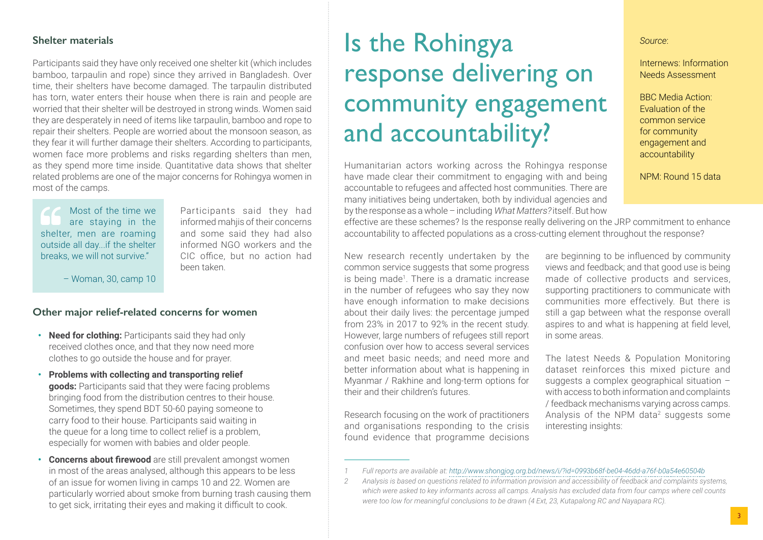#### **Shelter materials**

Participants said they have only received one shelter kit (which includes bamboo, tarpaulin and rope) since they arrived in Bangladesh. Over time, their shelters have become damaged. The tarpaulin distributed has torn, water enters their house when there is rain and people are worried that their shelter will be destroyed in strong winds. Women said they are desperately in need of items like tarpaulin, bamboo and rope to repair their shelters. People are worried about the monsoon season, as they fear it will further damage their shelters. According to participants, women face more problems and risks regarding shelters than men, as they spend more time inside. Quantitative data shows that shelter related problems are one of the major concerns for Rohingya women in most of the camps.

Most of the time we are staying in the shelter, men are roaming outside all day...if the shelter breaks, we will not survive."

Participants said they had informed mahijs of their concerns and some said they had also informed NGO workers and the CIC office, but no action had been taken.

– Woman, 30, camp 10

#### **Other major relief-related concerns for women**

- **• Need for clothing:** Participants said they had only received clothes once, and that they now need more clothes to go outside the house and for prayer.
- **• Problems with collecting and transporting relief goods:** Participants said that they were facing problems bringing food from the distribution centres to their house. Sometimes, they spend BDT 50-60 paying someone to carry food to their house. Participants said waiting in the queue for a long time to collect relief is a problem, especially for women with babies and older people.
- **• Concerns about firewood** are still prevalent amongst women in most of the areas analysed, although this appears to be less of an issue for women living in camps 10 and 22. Women are particularly worried about smoke from burning trash causing them to get sick, irritating their eyes and making it difficult to cook.

## Is the Rohingya response delivering on community engagement and accountability?

Humanitarian actors working across the Rohingya response have made clear their commitment to engaging with and being accountable to refugees and affected host communities. There are many initiatives being undertaken, both by individual agencies and by the response as a whole – including What Matters? itself. But how *Source*:

#### Internews: Information Needs Assessment

BBC Media Action: Evaluation of the common service for community engagement and accountability

NPM: Round 15 data

effective are these schemes? Is the response really delivering on the JRP commitment to enhance accountability to affected populations as a cross-cutting element throughout the response?

New research recently undertaken by the common service suggests that some progress is being made<sup>1</sup>. There is a dramatic increase in the number of refugees who say they now have enough information to make decisions about their daily lives: the percentage jumped from 23% in 2017 to 92% in the recent study. However, large numbers of refugees still report confusion over how to access several services and meet basic needs; and need more and better information about what is happening in Myanmar / Rakhine and long-term options for their and their children's futures.

Research focusing on the work of practitioners and organisations responding to the crisis found evidence that programme decisions

are beginning to be influenced by community views and feedback; and that good use is being made of collective products and services, supporting practitioners to communicate with communities more effectively. But there is still a gap between what the response overall aspires to and what is happening at field level, in some areas.

The latest Needs & Population Monitoring dataset reinforces this mixed picture and suggests a complex geographical situation – with access to both information and complaints / feedback mechanisms varying across camps. Analysis of the NPM data<sup>2</sup> suggests some interesting insights:

*<sup>1</sup> Full reports are available at: http://www.shongjog.org.bd/news/i/?id=0993b68f-be04-46dd-a76f-b0a54e60504b*

*<sup>2</sup> Analysis is based on questions related to information provision and accessibility of feedback and complaints systems, which were asked to key inf[ormants across all camps. Analysis has excluded data from four camps where cell c](http://www.shongjog.org.bd/news/i/?id=0993b68f-be04-46dd-a76f-b0a54e60504b)ounts were too low for meaningful conclusions to be drawn (4 Ext, 23, Kutapalong RC and Nayapara RC).*